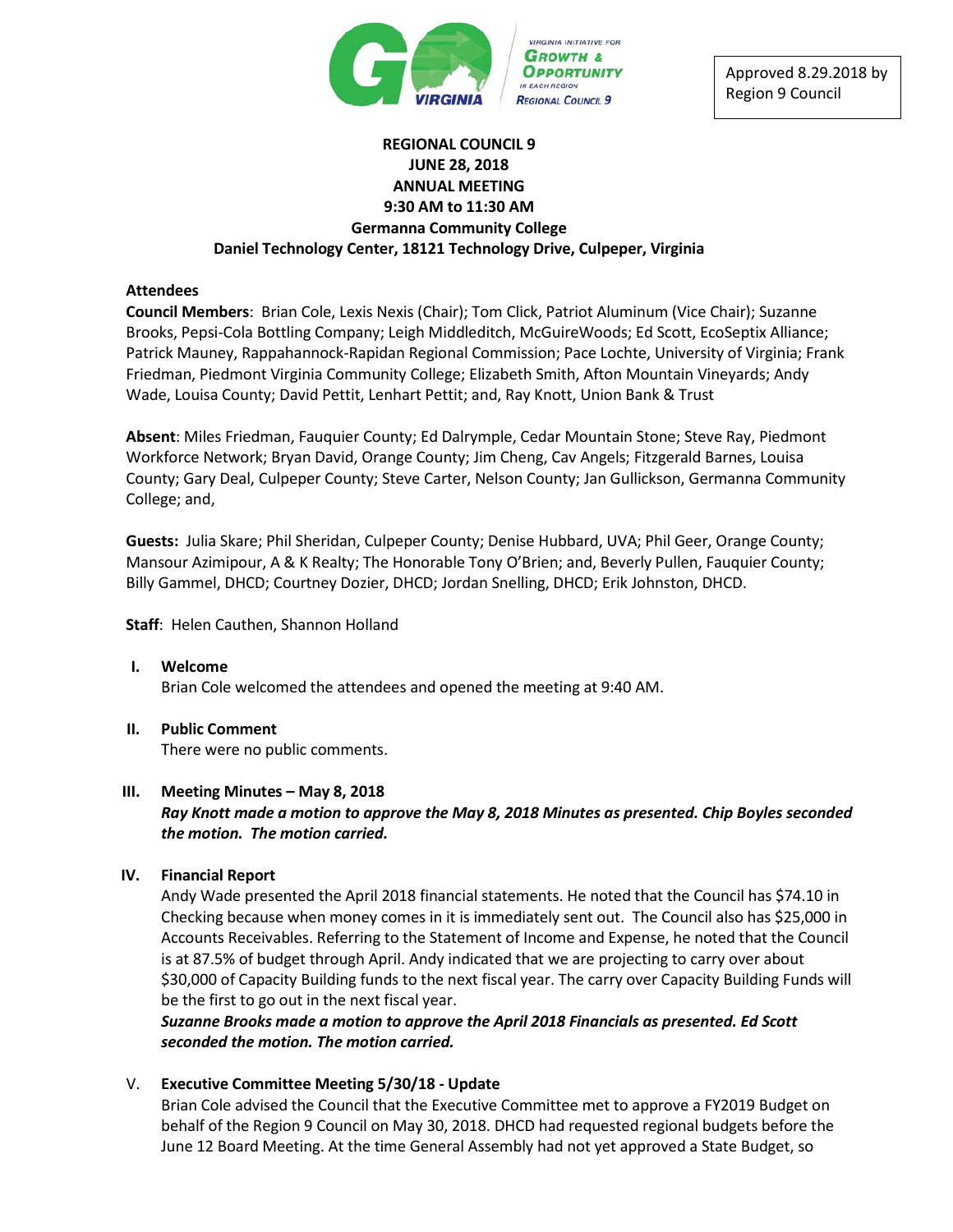

Approved 8.29.2018 by Region 9 Council

# **REGIONAL COUNCIL 9 JUNE 28, 2018 ANNUAL MEETING 9:30 AM to 11:30 AM Germanna Community College Daniel Technology Center, 18121 Technology Drive, Culpeper, Virginia**

### **Attendees**

**Council Members**: Brian Cole, Lexis Nexis (Chair); Tom Click, Patriot Aluminum (Vice Chair); Suzanne Brooks, Pepsi-Cola Bottling Company; Leigh Middleditch, McGuireWoods; Ed Scott, EcoSeptix Alliance; Patrick Mauney, Rappahannock-Rapidan Regional Commission; Pace Lochte, University of Virginia; Frank Friedman, Piedmont Virginia Community College; Elizabeth Smith, Afton Mountain Vineyards; Andy Wade, Louisa County; David Pettit, Lenhart Pettit; and, Ray Knott, Union Bank & Trust

**Absent**: Miles Friedman, Fauquier County; Ed Dalrymple, Cedar Mountain Stone; Steve Ray, Piedmont Workforce Network; Bryan David, Orange County; Jim Cheng, Cav Angels; Fitzgerald Barnes, Louisa County; Gary Deal, Culpeper County; Steve Carter, Nelson County; Jan Gullickson, Germanna Community College; and,

**Guests:** Julia Skare; Phil Sheridan, Culpeper County; Denise Hubbard, UVA; Phil Geer, Orange County; Mansour Azimipour, A & K Realty; The Honorable Tony O'Brien; and, Beverly Pullen, Fauquier County; Billy Gammel, DHCD; Courtney Dozier, DHCD; Jordan Snelling, DHCD; Erik Johnston, DHCD.

**Staff**: Helen Cauthen, Shannon Holland

- **I. Welcome** Brian Cole welcomed the attendees and opened the meeting at 9:40 AM.
- **II. Public Comment**

There were no public comments.

#### **III. Meeting Minutes – May 8, 2018**

# *Ray Knott made a motion to approve the May 8, 2018 Minutes as presented. Chip Boyles seconded the motion. The motion carried.*

# **IV. Financial Report**

Andy Wade presented the April 2018 financial statements. He noted that the Council has \$74.10 in Checking because when money comes in it is immediately sent out. The Council also has \$25,000 in Accounts Receivables. Referring to the Statement of Income and Expense, he noted that the Council is at 87.5% of budget through April. Andy indicated that we are projecting to carry over about \$30,000 of Capacity Building funds to the next fiscal year. The carry over Capacity Building Funds will be the first to go out in the next fiscal year.

*Suzanne Brooks made a motion to approve the April 2018 Financials as presented. Ed Scott seconded the motion. The motion carried.*

V. **Executive Committee Meeting 5/30/18 - Update**

Brian Cole advised the Council that the Executive Committee met to approve a FY2019 Budget on behalf of the Region 9 Council on May 30, 2018. DHCD had requested regional budgets before the June 12 Board Meeting. At the time General Assembly had not yet approved a State Budget, so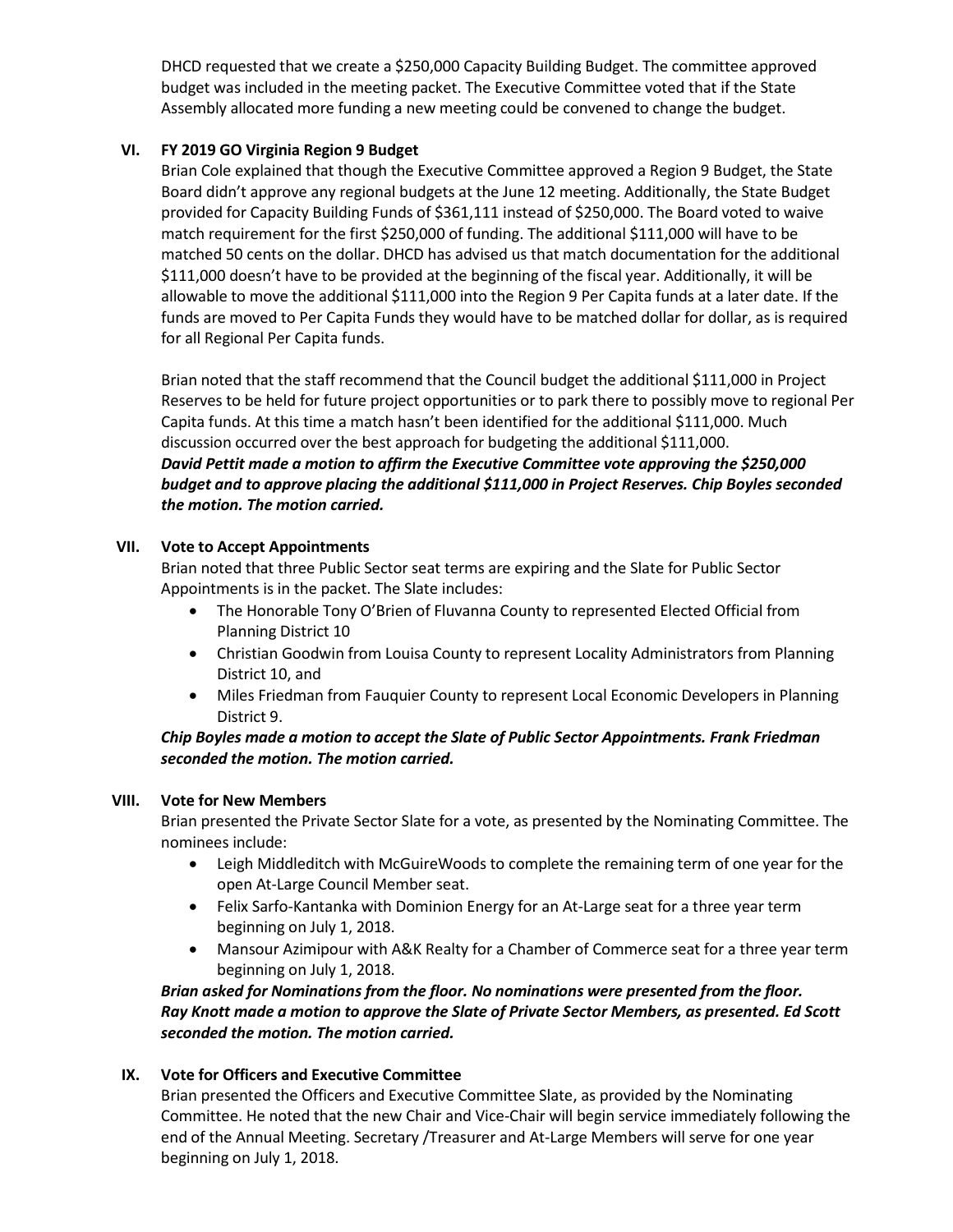DHCD requested that we create a \$250,000 Capacity Building Budget. The committee approved budget was included in the meeting packet. The Executive Committee voted that if the State Assembly allocated more funding a new meeting could be convened to change the budget.

# **VI. FY 2019 GO Virginia Region 9 Budget**

Brian Cole explained that though the Executive Committee approved a Region 9 Budget, the State Board didn't approve any regional budgets at the June 12 meeting. Additionally, the State Budget provided for Capacity Building Funds of \$361,111 instead of \$250,000. The Board voted to waive match requirement for the first \$250,000 of funding. The additional \$111,000 will have to be matched 50 cents on the dollar. DHCD has advised us that match documentation for the additional \$111,000 doesn't have to be provided at the beginning of the fiscal year. Additionally, it will be allowable to move the additional \$111,000 into the Region 9 Per Capita funds at a later date. If the funds are moved to Per Capita Funds they would have to be matched dollar for dollar, as is required for all Regional Per Capita funds.

Brian noted that the staff recommend that the Council budget the additional \$111,000 in Project Reserves to be held for future project opportunities or to park there to possibly move to regional Per Capita funds. At this time a match hasn't been identified for the additional \$111,000. Much discussion occurred over the best approach for budgeting the additional \$111,000. *David Pettit made a motion to affirm the Executive Committee vote approving the \$250,000 budget and to approve placing the additional \$111,000 in Project Reserves. Chip Boyles seconded the motion. The motion carried.* 

# **VII. Vote to Accept Appointments**

Brian noted that three Public Sector seat terms are expiring and the Slate for Public Sector Appointments is in the packet. The Slate includes:

- The Honorable Tony O'Brien of Fluvanna County to represented Elected Official from Planning District 10
- Christian Goodwin from Louisa County to represent Locality Administrators from Planning District 10, and
- Miles Friedman from Fauquier County to represent Local Economic Developers in Planning District 9.

# *Chip Boyles made a motion to accept the Slate of Public Sector Appointments. Frank Friedman seconded the motion. The motion carried.*

# **VIII. Vote for New Members**

Brian presented the Private Sector Slate for a vote, as presented by the Nominating Committee. The nominees include:

- Leigh Middleditch with McGuireWoods to complete the remaining term of one year for the open At-Large Council Member seat.
- Felix Sarfo-Kantanka with Dominion Energy for an At-Large seat for a three year term beginning on July 1, 2018.
- Mansour Azimipour with A&K Realty for a Chamber of Commerce seat for a three year term beginning on July 1, 2018.

*Brian asked for Nominations from the floor. No nominations were presented from the floor. Ray Knott made a motion to approve the Slate of Private Sector Members, as presented. Ed Scott seconded the motion. The motion carried.* 

# **IX. Vote for Officers and Executive Committee**

Brian presented the Officers and Executive Committee Slate, as provided by the Nominating Committee. He noted that the new Chair and Vice-Chair will begin service immediately following the end of the Annual Meeting. Secretary /Treasurer and At-Large Members will serve for one year beginning on July 1, 2018.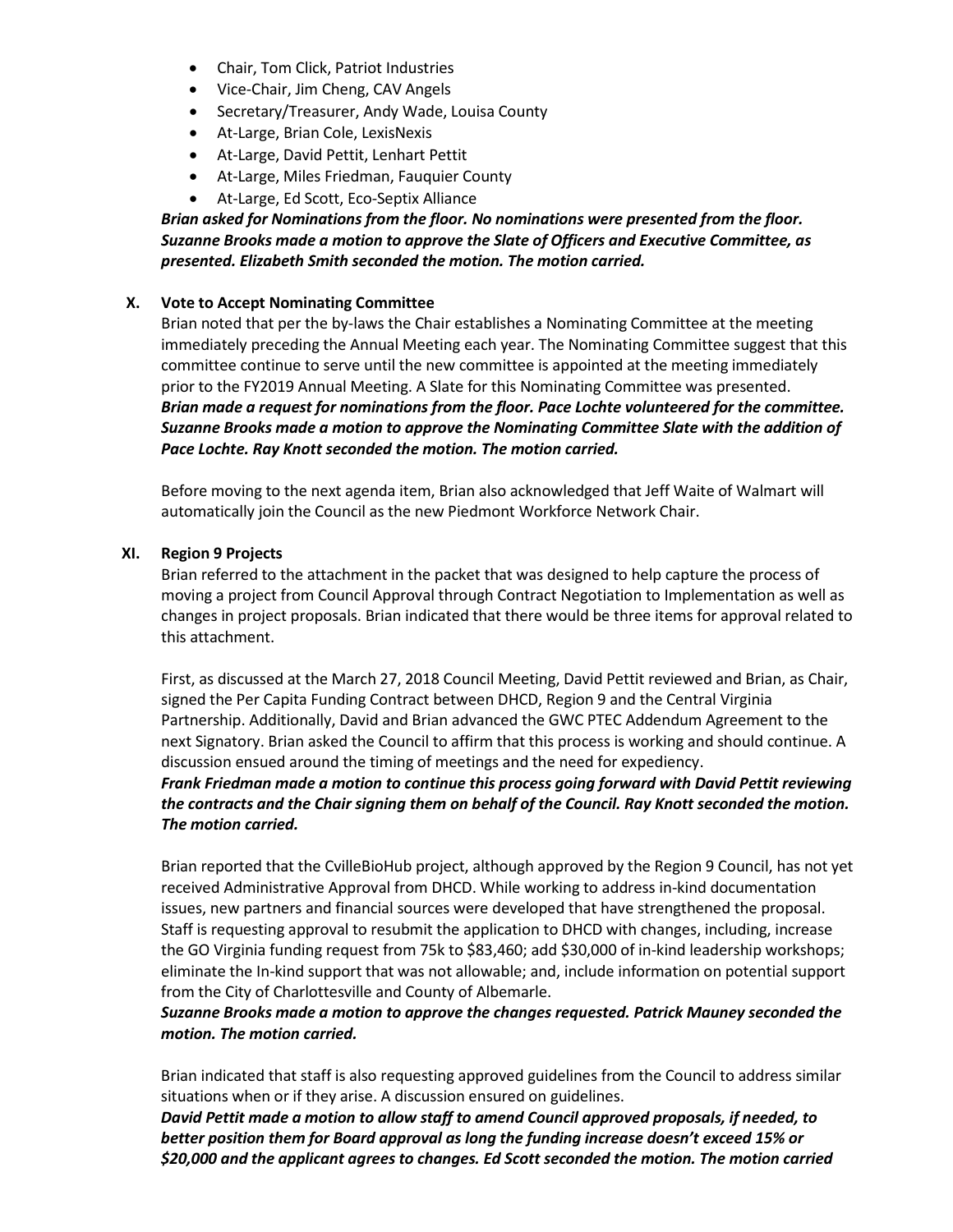- Chair, Tom Click, Patriot Industries
- Vice-Chair, Jim Cheng, CAV Angels
- Secretary/Treasurer, Andy Wade, Louisa County
- At-Large, Brian Cole, LexisNexis
- At-Large, David Pettit, Lenhart Pettit
- At-Large, Miles Friedman, Fauquier County
- At-Large, Ed Scott, Eco-Septix Alliance

# *Brian asked for Nominations from the floor. No nominations were presented from the floor. Suzanne Brooks made a motion to approve the Slate of Officers and Executive Committee, as presented. Elizabeth Smith seconded the motion. The motion carried.*

# **X. Vote to Accept Nominating Committee**

Brian noted that per the by-laws the Chair establishes a Nominating Committee at the meeting immediately preceding the Annual Meeting each year. The Nominating Committee suggest that this committee continue to serve until the new committee is appointed at the meeting immediately prior to the FY2019 Annual Meeting. A Slate for this Nominating Committee was presented. *Brian made a request for nominations from the floor. Pace Lochte volunteered for the committee. Suzanne Brooks made a motion to approve the Nominating Committee Slate with the addition of Pace Lochte. Ray Knott seconded the motion. The motion carried.*

Before moving to the next agenda item, Brian also acknowledged that Jeff Waite of Walmart will automatically join the Council as the new Piedmont Workforce Network Chair.

# **XI. Region 9 Projects**

Brian referred to the attachment in the packet that was designed to help capture the process of moving a project from Council Approval through Contract Negotiation to Implementation as well as changes in project proposals. Brian indicated that there would be three items for approval related to this attachment.

First, as discussed at the March 27, 2018 Council Meeting, David Pettit reviewed and Brian, as Chair, signed the Per Capita Funding Contract between DHCD, Region 9 and the Central Virginia Partnership. Additionally, David and Brian advanced the GWC PTEC Addendum Agreement to the next Signatory. Brian asked the Council to affirm that this process is working and should continue. A discussion ensued around the timing of meetings and the need for expediency.

# *Frank Friedman made a motion to continue this process going forward with David Pettit reviewing the contracts and the Chair signing them on behalf of the Council. Ray Knott seconded the motion. The motion carried.*

Brian reported that the CvilleBioHub project, although approved by the Region 9 Council, has not yet received Administrative Approval from DHCD. While working to address in-kind documentation issues, new partners and financial sources were developed that have strengthened the proposal. Staff is requesting approval to resubmit the application to DHCD with changes, including, increase the GO Virginia funding request from 75k to \$83,460; add \$30,000 of in-kind leadership workshops; eliminate the In-kind support that was not allowable; and, include information on potential support from the City of Charlottesville and County of Albemarle.

# *Suzanne Brooks made a motion to approve the changes requested. Patrick Mauney seconded the motion. The motion carried.*

Brian indicated that staff is also requesting approved guidelines from the Council to address similar situations when or if they arise. A discussion ensured on guidelines.

*David Pettit made a motion to allow staff to amend Council approved proposals, if needed, to better position them for Board approval as long the funding increase doesn't exceed 15% or \$20,000 and the applicant agrees to changes. Ed Scott seconded the motion. The motion carried*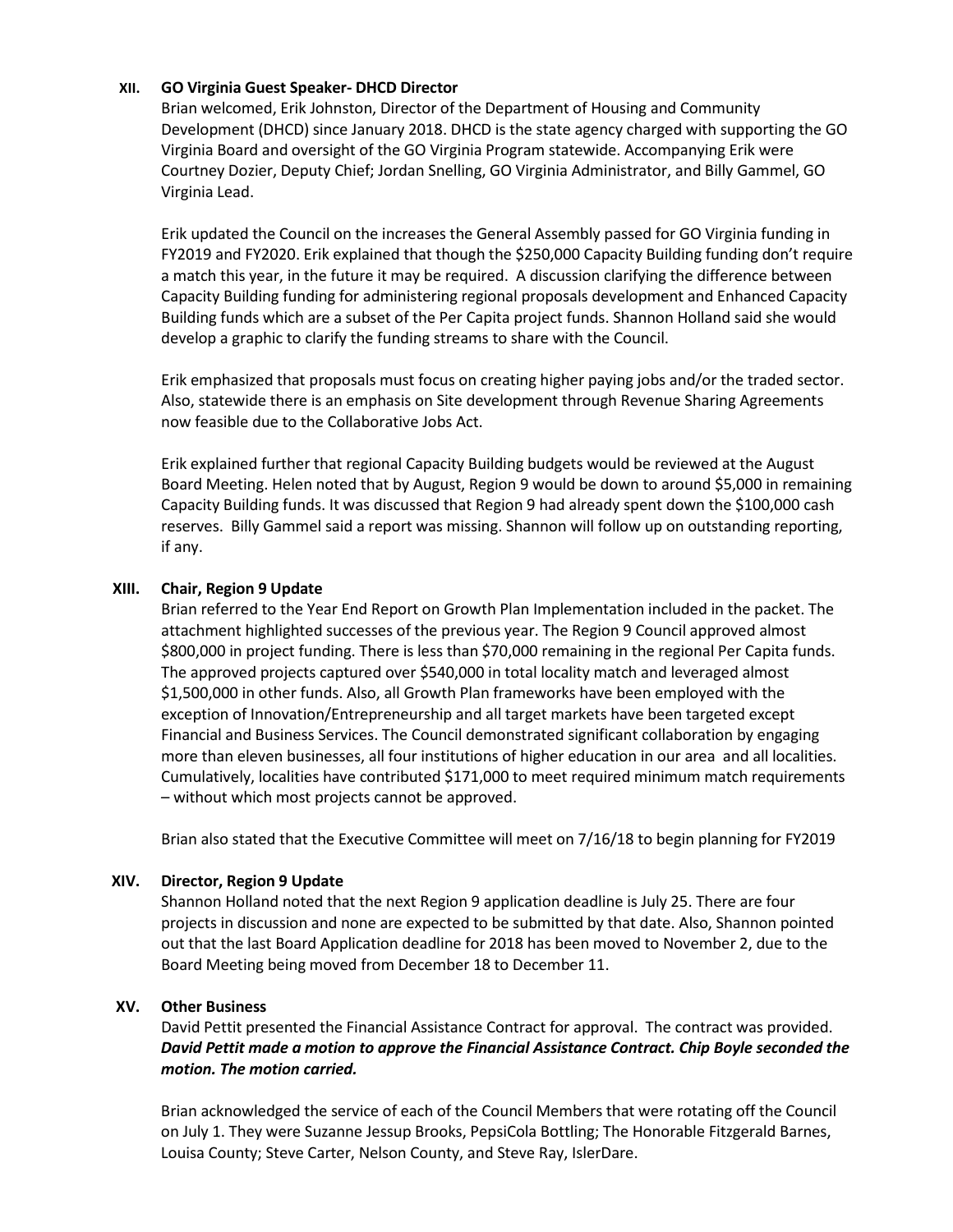# **XII. GO Virginia Guest Speaker- DHCD Director**

Brian welcomed, Erik Johnston, Director of the Department of Housing and Community Development (DHCD) since January 2018. DHCD is the state agency charged with supporting the GO Virginia Board and oversight of the GO Virginia Program statewide. Accompanying Erik were Courtney Dozier, Deputy Chief; Jordan Snelling, GO Virginia Administrator, and Billy Gammel, GO Virginia Lead.

Erik updated the Council on the increases the General Assembly passed for GO Virginia funding in FY2019 and FY2020. Erik explained that though the \$250,000 Capacity Building funding don't require a match this year, in the future it may be required. A discussion clarifying the difference between Capacity Building funding for administering regional proposals development and Enhanced Capacity Building funds which are a subset of the Per Capita project funds. Shannon Holland said she would develop a graphic to clarify the funding streams to share with the Council.

Erik emphasized that proposals must focus on creating higher paying jobs and/or the traded sector. Also, statewide there is an emphasis on Site development through Revenue Sharing Agreements now feasible due to the Collaborative Jobs Act.

Erik explained further that regional Capacity Building budgets would be reviewed at the August Board Meeting. Helen noted that by August, Region 9 would be down to around \$5,000 in remaining Capacity Building funds. It was discussed that Region 9 had already spent down the \$100,000 cash reserves. Billy Gammel said a report was missing. Shannon will follow up on outstanding reporting, if any.

### **XIII. Chair, Region 9 Update**

Brian referred to the Year End Report on Growth Plan Implementation included in the packet. The attachment highlighted successes of the previous year. The Region 9 Council approved almost \$800,000 in project funding. There is less than \$70,000 remaining in the regional Per Capita funds. The approved projects captured over \$540,000 in total locality match and leveraged almost \$1,500,000 in other funds. Also, all Growth Plan frameworks have been employed with the exception of Innovation/Entrepreneurship and all target markets have been targeted except Financial and Business Services. The Council demonstrated significant collaboration by engaging more than eleven businesses, all four institutions of higher education in our area and all localities. Cumulatively, localities have contributed \$171,000 to meet required minimum match requirements – without which most projects cannot be approved.

Brian also stated that the Executive Committee will meet on 7/16/18 to begin planning for FY2019

# **XIV. Director, Region 9 Update**

Shannon Holland noted that the next Region 9 application deadline is July 25. There are four projects in discussion and none are expected to be submitted by that date. Also, Shannon pointed out that the last Board Application deadline for 2018 has been moved to November 2, due to the Board Meeting being moved from December 18 to December 11.

# **XV. Other Business**

David Pettit presented the Financial Assistance Contract for approval. The contract was provided. *David Pettit made a motion to approve the Financial Assistance Contract. Chip Boyle seconded the motion. The motion carried.* 

Brian acknowledged the service of each of the Council Members that were rotating off the Council on July 1. They were Suzanne Jessup Brooks, PepsiCola Bottling; The Honorable Fitzgerald Barnes, Louisa County; Steve Carter, Nelson County, and Steve Ray, IslerDare.